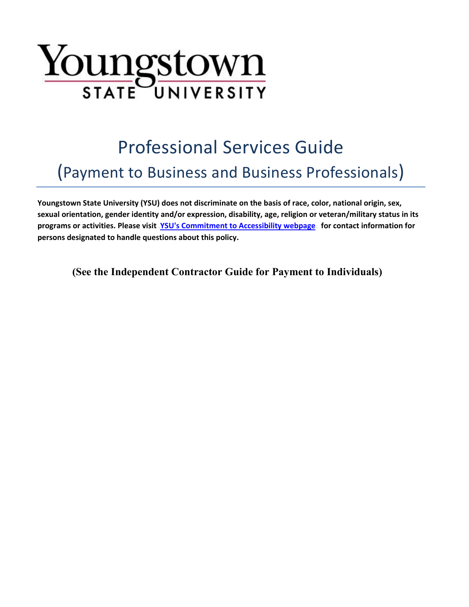

# Professional Services Guide (Payment to Business and Business Professionals)

**Youngstown State University (YSU) does not discriminate on the basis of race, color, national origin, sex, sexual orientation, gender identity and/or expression, disability, age, religion or veteran/military status in its**  programs or activities. Please visit **[YSU's Commitment to Accessibility webpage](http://cms.ysu.edu/accessibility/electronic-information-technology-%E2%80%9Ceit%E2%80%9D-accessibility-compliance)** for contact information for **persons designated to handle questions about this policy.**

**(See the Independent Contractor Guide for Payment to Individuals)**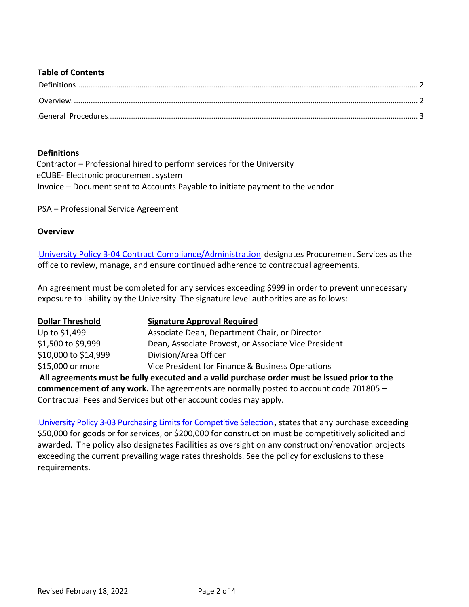#### **Table of Contents**

## <span id="page-1-0"></span>**Definitions**

Contractor – Professional hired to perform services for the University eCUBE- Electronic procurement system Invoice – Document sent to Accounts Payable to initiate payment to the vendor

PSA – Professional Service Agreement

#### <span id="page-1-1"></span>**Overview**

**[University Policy 3-04 Contract Compliance/Administration](https://cms.ysu.edu/administrative-offices/university-policies/3-budget-and-finance)** designates Procurement Services as the office to review, manage, and ensure continued adherence to contractual agreements.

An agreement must be completed for any services exceeding \$999 in order to prevent unnecessary exposure to liability by the University. The signature level authorities are as follows:

| <b>Dollar Threshold</b> | <b>Signature Approval Required</b>                                                           |
|-------------------------|----------------------------------------------------------------------------------------------|
| Up to \$1,499           | Associate Dean, Department Chair, or Director                                                |
| \$1,500 to \$9,999      | Dean, Associate Provost, or Associate Vice President                                         |
| \$10,000 to \$14,999    | Division/Area Officer                                                                        |
| \$15,000 or more        | Vice President for Finance & Business Operations                                             |
|                         | All agreements must be fully executed and a valid purchase order must be issued prior to the |
|                         | commencement of any work. The agreements are normally posted to account code 701805 -        |

Contractual Fees and Services but other account codes may apply.

[University Policy 3-03 Purchasing Limits for Competitive Selection](https://cms.ysu.edu/administrative-offices/university-policies/3-budget-and-finance)., states that any purchase exceeding \$50,000 for goods or for services, or \$200,000 for construction must be competitively solicited and awarded. The policy also designates Facilities as oversight on any construction/renovation projects exceeding the current prevailing wage rates thresholds. See the policy for exclusions to these requirements.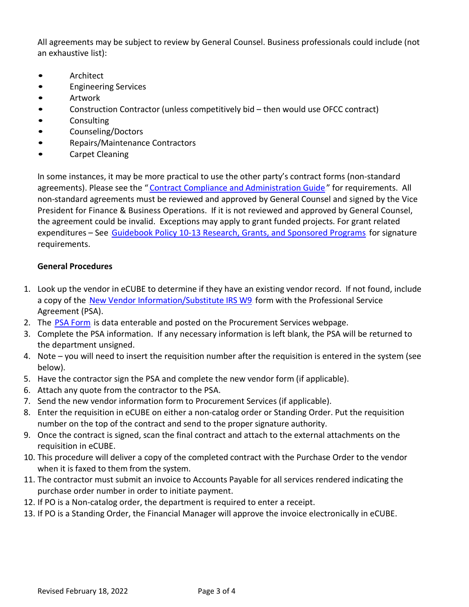All agreements may be subject to review by General Counsel. Business professionals could include (not an exhaustive list):

- **Architect**
- Engineering Services
- Artwork
- Construction Contractor (unless competitively bid then would use OFCC contract)
- Consulting
- Counseling/Doctors
- Repairs/Maintenance Contractors
- Carpet Cleaning

In some instances, it may be more practical to use the other party's contract forms (non-standard agreements). Please see the "Contract Compliance and [Administration Guide](https://cms.ysu.edu/administrative-offices/procurement-services/contract-management)" for requirements. All non-standard agreements must be reviewed and approved by General Counsel and signed by the Vice President for Finance & Business Operations. If it is not reviewed and approved by General Counsel, the agreement could be invalid. Exceptions may apply to grant funded projects. For grant related expenditures – See [Guidebook Policy 10-13 Research, Grants, and Sponsored Programs](https://cms.ysu.edu/administrative-offices/university-policies/10-academic-affairs) for signature requirements.

## <span id="page-2-0"></span>**General Procedures**

- 1. Look up the vendor in eCUBE to determine if they have an existing vendor record. If not found, include a copy of the New Vendor [Information/Substitute](https://cms.ysu.edu/administrative-offices/procurement-services/new-vendor-information) IRS W9 form with the Professional Service Agreement (PSA).
- 2. The PSA [Form](https://cms.ysu.edu/administrative-offices/procurement-services/procurement-forms) is data enterable and posted on the Procurement Services webpage.
- 3. Complete the PSA information. If any necessary information is left blank, the PSA will be returned to the department unsigned.
- 4. Note you will need to insert the requisition number after the requisition is entered in the system (see below).
- 5. Have the contractor sign the PSA and complete the new vendor form (if applicable).
- 6. Attach any quote from the contractor to the PSA.
- 7. Send the new vendor information form to Procurement Services (if applicable).
- 8. Enter the requisition in eCUBE on either a non-catalog order or Standing Order. Put the requisition number on the top of the contract and send to the proper signature authority.
- 9. Once the contract is signed, scan the final contract and attach to the external attachments on the requisition in eCUBE.
- 10. This procedure will deliver a copy of the completed contract with the Purchase Order to the vendor when it is faxed to them from the system.
- 11. The contractor must submit an invoice to Accounts Payable for all services rendered indicating the purchase order number in order to initiate payment.
- 12. If PO is a Non-catalog order, the department is required to enter a receipt.
- 13. If PO is a Standing Order, the Financial Manager will approve the invoice electronically in eCUBE.